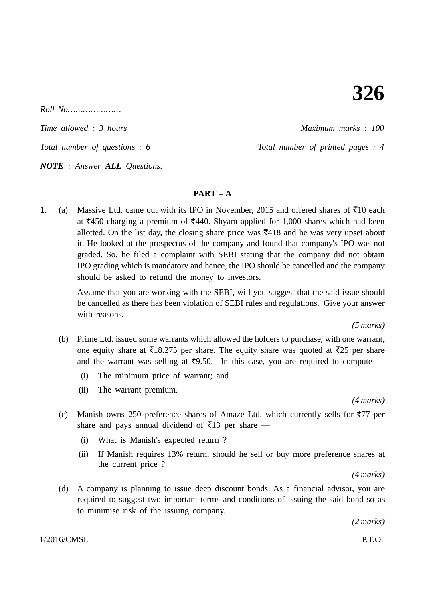: 1 : *Roll No…………………*

*Time allowed : 3 hours Maximum marks : 100*

*Total number of questions : 6* Total number of printed pages : 4

*NOTE : Answer ALL Questions.*

## $\mathbf{P} \mathbf{A} \mathbf{R} \mathbf{T} = \mathbf{A}$

**1.** (a) Massive Ltd. came out with its IPO in November, 2015 and offered shares of  $\bar{\tau}$ 10 each at  $\text{\textsterling}450$  charging a premium of  $\text{\textsterling}440$ . Shyam applied for 1,000 shares which had been allotted. On the list day, the closing share price was  $\overline{5}418$  and he was very upset about it. He looked at the prospectus of the company and found that company's IPO was not graded. So, he filed a complaint with SEBI stating that the company did not obtain IPO grading which is mandatory and hence, the IPO should be cancelled and the company should be asked to refund the money to investors.

> Assume that you are working with the SEBI, will you suggest that the said issue should be cancelled as there has been violation of SEBI rules and regulations. Give your answer with reasons.

> > *(5 marks)*

- (b) Prime Ltd. issued some warrants which allowed the holders to purchase, with one warrant, one equity share at  $\overline{5}18.275$  per share. The equity share was quoted at  $\overline{5}25$  per share and the warrant was selling at  $\overline{5}9.50$ . In this case, you are required to compute –
	- (i) The minimum price of warrant; and
	- (ii) The warrant premium.

*(4 marks)*

- (c) Manish owns 250 preference shares of Amaze Ltd. which currently sells for  $\overline{577}$  per share and pays annual dividend of  $\bar{z}$ 13 per share —
	- (i) What is Manish's expected return ?
	- (ii) If Manish requires 13% return, should he sell or buy more preference shares at the current price ?

*(4 marks)*

(d) A company is planning to issue deep discount bonds. As a financial advisor, you are required to suggest two important terms and conditions of issuing the said bond so as to minimise risk of the issuing company.

*(2 marks)*

 $1/2016/\text{CMSL}$  P.T.O.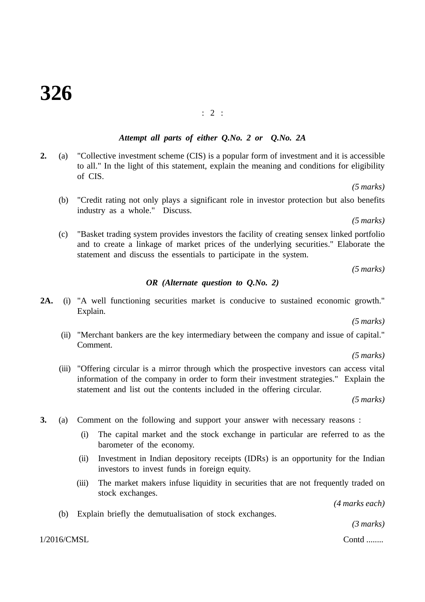: 2 :

# *Attempt all parts of either Q.No. 2 or Q.No. 2A*

**2.** (a) "Collective investment scheme (CIS) is a popular form of investment and it is accessible to all." In the light of this statement, explain the meaning and conditions for eligibility of CIS.

*(5 marks)*

(b) "Credit rating not only plays a significant role in investor protection but also benefits industry as a whole." Discuss.

*(5 marks)*

(c) "Basket trading system provides investors the facility of creating sensex linked portfolio and to create a linkage of market prices of the underlying securities." Elaborate the statement and discuss the essentials to participate in the system.

*(5 marks)*

#### *OR (Alternate question to Q.No. 2)*

**2A.** (i) "A well functioning securities market is conducive to sustained economic growth." Explain.

*(5 marks)*

(ii) "Merchant bankers are the key intermediary between the company and issue of capital." Comment.

*(5 marks)*

(iii) "Offering circular is a mirror through which the prospective investors can access vital information of the company in order to form their investment strategies." Explain the statement and list out the contents included in the offering circular.

*(5 marks)*

- **3.** (a) Comment on the following and support your answer with necessary reasons :
	- (i) The capital market and the stock exchange in particular are referred to as the barometer of the economy.
	- (ii) Investment in Indian depository receipts (IDRs) is an opportunity for the Indian investors to invest funds in foreign equity.
	- (iii) The market makers infuse liquidity in securities that are not frequently traded on stock exchanges.

*(4 marks each)*

(b) Explain briefly the demutualisation of stock exchanges.

 $1/2016/CMSL$  Contd ........

*(3 marks)*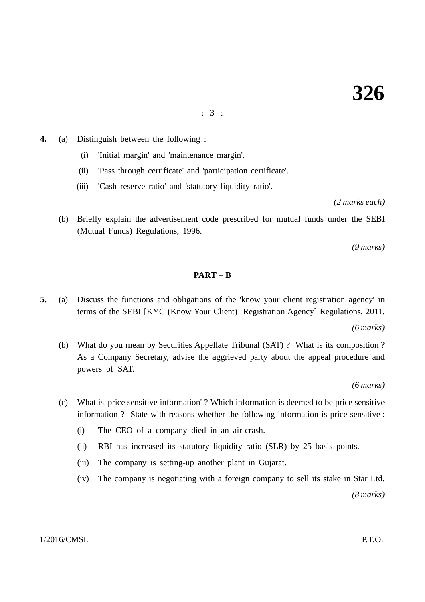: 3 :

- **4.** (a) Distinguish between the following :
	- (i) 'Initial margin' and 'maintenance margin'.
	- (ii) 'Pass through certificate' and 'participation certificate'.
	- (iii) 'Cash reserve ratio' and 'statutory liquidity ratio'.

*(2 marks each)*

(b) Briefly explain the advertisement code prescribed for mutual funds under the SEBI (Mutual Funds) Regulations, 1996.

*(9 marks)*

#### **PART – B**

**5.** (a) Discuss the functions and obligations of the 'know your client registration agency' in terms of the SEBI [KYC (Know Your Client) Registration Agency] Regulations, 2011.

*(6 marks)*

(b) What do you mean by Securities Appellate Tribunal (SAT) ? What is its composition ? As a Company Secretary, advise the aggrieved party about the appeal procedure and powers of SAT.

*(6 marks)*

- (c) What is 'price sensitive information' ? Which information is deemed to be price sensitive information ? State with reasons whether the following information is price sensitive :
	- (i) The CEO of a company died in an air-crash.
	- (ii) RBI has increased its statutory liquidity ratio (SLR) by 25 basis points.
	- (iii) The company is setting-up another plant in Gujarat.
	- (iv) The company is negotiating with a foreign company to sell its stake in Star Ltd.

*(8 marks)*

 $1/2016/\text{CMSL}$  P.T.O.